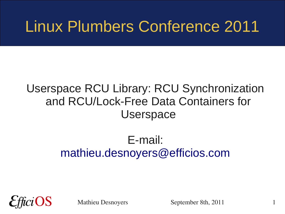#### Linux Plumbers Conference 2011

#### Userspace RCU Library: RCU Synchronization and RCU/Lock-Free Data Containers for **Userspace**

#### E-mail: [mathieu.desnoyers@efficios.com](mailto:mathieu.desnoyers@efficios.com)

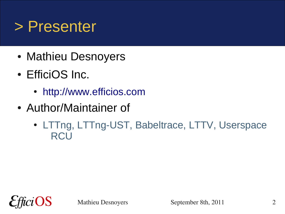#### > Presenter

- Mathieu Desnoyers
- EfficiOS Inc.
	- [http://www.efficios.com](http://www.efficios.com/)
- Author/Maintainer of
	- LTTng, LTTng-UST, Babeltrace, LTTV, Userspace **RCU**

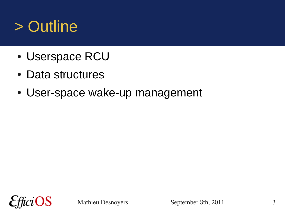### > Outline

- Userspace RCU
- Data structures
- User-space wake-up management

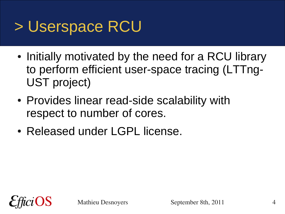#### > Userspace RCU

- Initially motivated by the need for a RCU library to perform efficient user-space tracing (LTTng-UST project)
- Provides linear read-side scalability with respect to number of cores.
- Released under LGPL license.

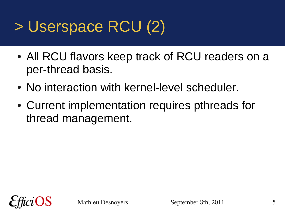## > Userspace RCU (2)

- All RCU flavors keep track of RCU readers on a per-thread basis.
- No interaction with kernel-level scheduler.
- Current implementation requires pthreads for thread management.

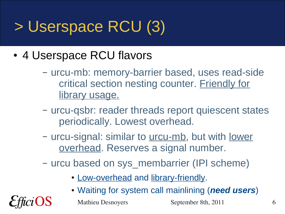# > Userspace RCU (3)

- 4 Userspace RCU flavors
	- urcu-mb: memory-barrier based, uses read-side critical section nesting counter. Friendly for library usage.
	- urcu-qsbr: reader threads report quiescent states periodically. Lowest overhead.
	- urcu-signal: similar to <u>urcu-mb</u>, but with <u>lower</u> overhead. Reserves a signal number.
	- urcu based on sys\_membarrier (IPI scheme)
		- Low-overhead and library-friendly.
		- Waiting for system call mainlining (*need users*)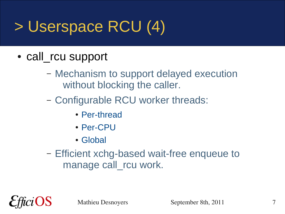# > Userspace RCU (4)

- call rcu support
	- Mechanism to support delayed execution without blocking the caller.
	- Configurable RCU worker threads:
		- Per-thread
		- Per-CPU
		- Global
	- Efficient xchg-based wait-free enqueue to manage call rcu work.

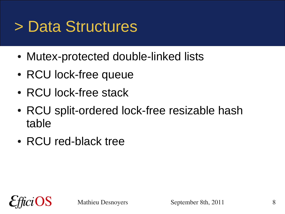#### > Data Structures

- Mutex-protected double-linked lists
- RCU lock-free queue
- RCU lock-free stack
- RCU split-ordered lock-free resizable hash table
- RCU red-black tree

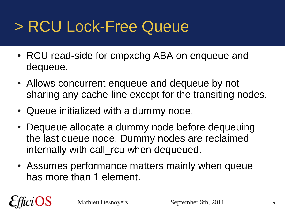# > RCU Lock-Free Queue

- RCU read-side for cmpxchg ABA on enqueue and dequeue.
- Allows concurrent enqueue and dequeue by not sharing any cache-line except for the transiting nodes.
- Queue initialized with a dummy node.
- Dequeue allocate a dummy node before dequeuing the last queue node. Dummy nodes are reclaimed internally with call rcu when dequeued.
- Assumes performance matters mainly when queue has more than 1 element.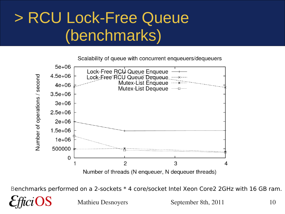#### > RCU Lock-Free Queue (benchmarks)

Scalability of queue with concurrent enqueuers/dequeuers



Benchmarks performed on a 2-sockets \* 4 core/socket Intel Xeon Core2 2GHz with 16 GB ram.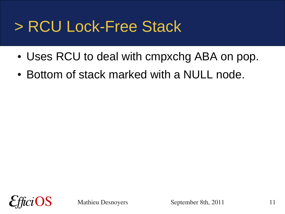#### > RCU Lock-Free Stack

- Uses RCU to deal with cmpxchg ABA on pop.
- Bottom of stack marked with a NULL node.

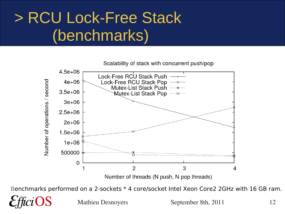## > RCU Lock-Free Stack (benchmarks)



Benchmarks performed on a 2-sockets \* 4 core/socket Intel Xeon Core2 2GHz with 16 GB ram.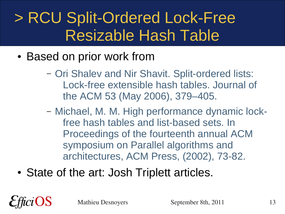## > RCU Split-Ordered Lock-Free Resizable Hash Table

- Based on prior work from
	- Ori Shalev and Nir Shavit. Split-ordered lists: Lock-free extensible hash tables. Journal of the ACM 53 (May 2006), 379–405.
	- Michael, M. M. High performance dynamic lockfree hash tables and list-based sets. In Proceedings of the fourteenth annual ACM symposium on Parallel algorithms and architectures, ACM Press, (2002), 73-82.
- State of the art: Josh Triplett articles.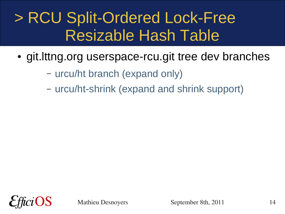## > RCU Split-Ordered Lock-Free Resizable Hash Table

- git. Ittng.org userspace-rcu.git tree dev branches
	- urcu/ht branch (expand only)
	- urcu/ht-shrink (expand and shrink support)

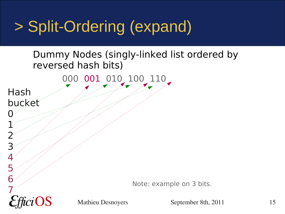# > Split-Ordering (expand)

#### Dummy Nodes (singly-linked list ordered by reversed hash bits)

000 001 010 100 110

Hash bucket

0

1

2

3

4

5

6

7

Note: example on 3 bits.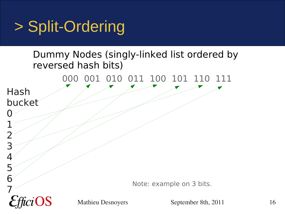## > Split-Ordering

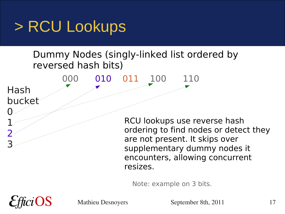#### > RCU Lookups

#### Dummy Nodes (singly-linked list ordered by reversed hash bits)



Note: example on 3 bits.

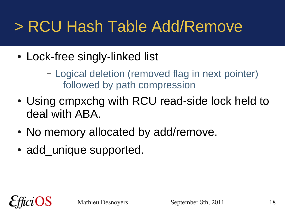## > RCU Hash Table Add/Remove

- Lock-free singly-linked list
	- Logical deletion (removed flag in next pointer) followed by path compression
- Using cmpxchg with RCU read-side lock held to deal with ABA.
- No memory allocated by add/remove.
- add unique supported.

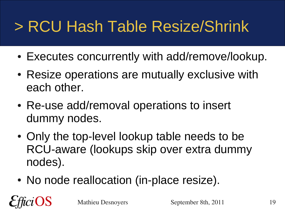# > RCU Hash Table Resize/Shrink

- Executes concurrently with add/remove/lookup.
- Resize operations are mutually exclusive with each other.
- Re-use add/removal operations to insert dummy nodes.
- Only the top-level lookup table needs to be RCU-aware (lookups skip over extra dummy nodes).
- No node reallocation (in-place resize).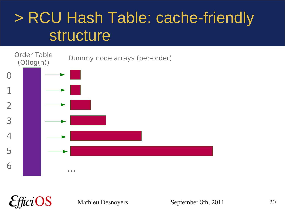#### > RCU Hash Table: cache-friendly structure



 $i$ OS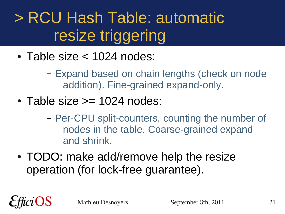## > RCU Hash Table: automatic resize triggering

• Table size  $<$  1024 nodes:

– Expand based on chain lengths (check on node addition). Fine-grained expand-only.

- Table size  $\ge$  1024 nodes:
	- Per-CPU split-counters, counting the number of nodes in the table. Coarse-grained expand and shrink.
- TODO: make add/remove help the resize operation (for lock-free guarantee).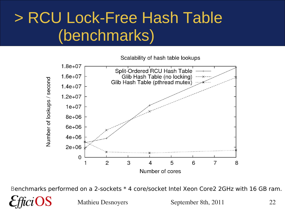### > RCU Lock-Free Hash Table (benchmarks)

Scalability of hash table lookups



Benchmarks performed on a 2-sockets \* 4 core/socket Intel Xeon Core2 2GHz with 16 GB ram.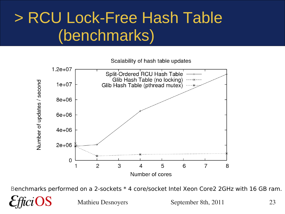## > RCU Lock-Free Hash Table (benchmarks)

Scalability of hash table updates

![](_page_22_Figure_2.jpeg)

Benchmarks performed on a 2-sockets \* 4 core/socket Intel Xeon Core2 2GHz with 16 GB ram.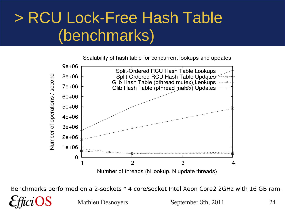## > RCU Lock-Free Hash Table (benchmarks)

Scalability of hash table for concurrent lookups and updates

![](_page_23_Figure_2.jpeg)

Benchmarks performed on a 2-sockets \* 4 core/socket Intel Xeon Core2 2GHz with 16 GB ram.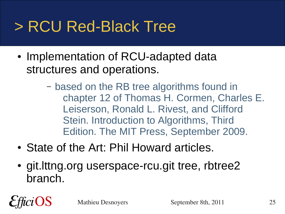## > RCU Red-Black Tree

- Implementation of RCU-adapted data structures and operations.
	- based on the RB tree algorithms found in chapter 12 of Thomas H. Cormen, Charles E. Leiserson, Ronald L. Rivest, and Clifford Stein. Introduction to Algorithms, Third Edition. The MIT Press, September 2009.
- State of the Art: Phil Howard articles.
- git.lttng.org userspace-rcu.git tree, rbtree2 branch.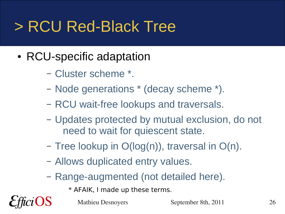## > RCU Red-Black Tree

- RCU-specific adaptation
	- Cluster scheme \*.
	- Node generations \* (decay scheme \*).
	- RCU wait-free lookups and traversals.
	- Updates protected by mutual exclusion, do not need to wait for quiescent state.
	- Tree lookup in O(log(n)), traversal in O(n).
	- Allows duplicated entry values.
	- Range-augmented (not detailed here).
		- \* AFAIK, I made up these terms.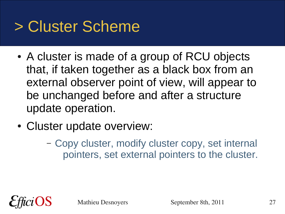## > Cluster Scheme

- A cluster is made of a group of RCU objects that, if taken together as a black box from an external observer point of view, will appear to be unchanged before and after a structure update operation.
- Cluster update overview:
	- Copy cluster, modify cluster copy, set internal pointers, set external pointers to the cluster.

![](_page_26_Picture_4.jpeg)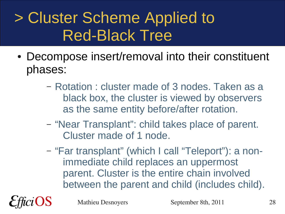## > Cluster Scheme Applied to Red-Black Tree

- Decompose insert/removal into their constituent phases:
	- Rotation : cluster made of 3 nodes. Taken as a black box, the cluster is viewed by observers as the same entity before/after rotation.
	- "Near Transplant": child takes place of parent. Cluster made of 1 node.
	- "Far transplant" (which I call "Teleport"): a nonimmediate child replaces an uppermost parent. Cluster is the entire chain involved between the parent and child (includes child).

![](_page_27_Picture_5.jpeg)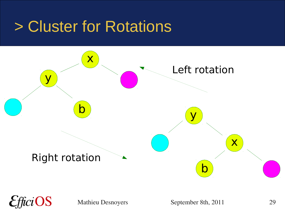#### > Cluster for Rotations

![](_page_28_Figure_1.jpeg)

 $ciOS$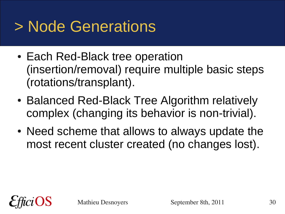# > Node Generations

- Each Red-Black tree operation (insertion/removal) require multiple basic steps (rotations/transplant).
- Balanced Red-Black Tree Algorithm relatively complex (changing its behavior is non-trivial).
- Need scheme that allows to always update the most recent cluster created (no changes lost).

![](_page_29_Picture_4.jpeg)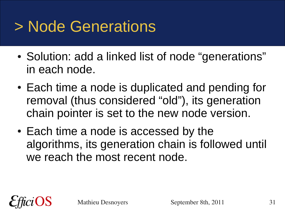## > Node Generations

- Solution: add a linked list of node "generations" in each node.
- Each time a node is duplicated and pending for removal (thus considered "old"), its generation chain pointer is set to the new node version.
- Each time a node is accessed by the algorithms, its generation chain is followed until we reach the most recent node.

![](_page_30_Picture_4.jpeg)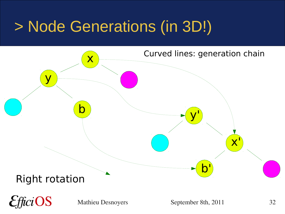## > Node Generations (in 3D!)

![](_page_31_Figure_1.jpeg)

 $ciOS$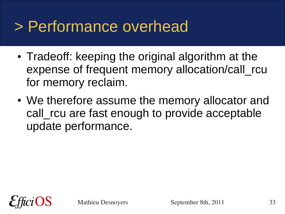#### > Performance overhead

- Tradeoff: keeping the original algorithm at the expense of frequent memory allocation/call rcu for memory reclaim.
- We therefore assume the memory allocator and call rcu are fast enough to provide acceptable update performance.

![](_page_32_Picture_3.jpeg)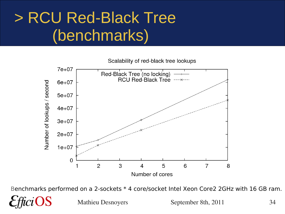## > RCU Red-Black Tree (benchmarks)

Scalability of red-black tree lookups

![](_page_33_Figure_2.jpeg)

Benchmarks performed on a 2-sockets \* 4 core/socket Intel Xeon Core2 2GHz with 16 GB ram.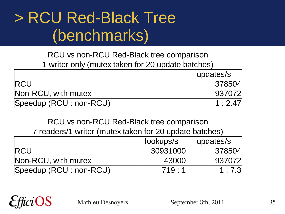### > RCU Red-Black Tree (benchmarks)

RCU vs non-RCU Red-Black tree comparison 1 writer only (mutex taken for 20 update batches)

|                         | updates/s |
|-------------------------|-----------|
| <b>IRCU</b>             | 378504    |
| Non-RCU, with mutex     | 937072    |
| Speedup (RCU : non-RCU) | 1:2.47    |

RCU vs non-RCU Red-Black tree comparison 7 readers/1 writer (mutex taken for 20 update batches)

|                         | lookups/s | updates/s |
|-------------------------|-----------|-----------|
| <b>RCU</b>              | 30931000  | 378504    |
| Non-RCU, with mutex     | 43000     | 937072    |
| Speedup (RCU : non-RCU) | 719:1     | 1:7.3     |

OS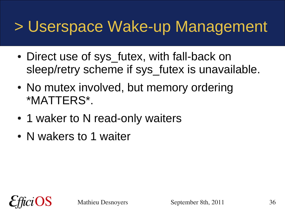#### > Userspace Wake-up Management

- Direct use of sys futex, with fall-back on sleep/retry scheme if sys futex is unavailable.
- No mutex involved, but memory ordering \*MATTERS\*.
- 1 waker to N read-only waiters
- N wakers to 1 waiter

![](_page_35_Picture_5.jpeg)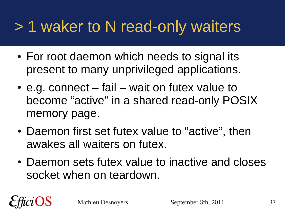## > 1 waker to N read-only waiters

- For root daemon which needs to signal its present to many unprivileged applications.
- $\bullet$  e.g. connect fail wait on futex value to become "active" in a shared read-only POSIX memory page.
- Daemon first set futex value to "active", then awakes all waiters on futex.
- Daemon sets futex value to inactive and closes socket when on teardown.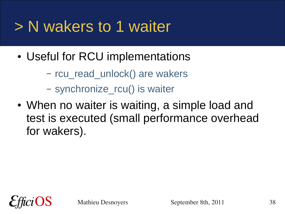## > N wakers to 1 waiter

- Useful for RCU implementations
	- rcu\_read\_unlock() are wakers
	- synchronize\_rcu() is waiter
- When no waiter is waiting, a simple load and test is executed (small performance overhead for wakers).

![](_page_37_Picture_5.jpeg)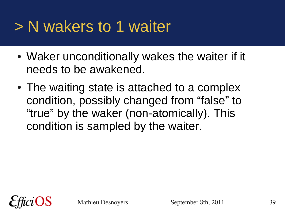#### > N wakers to 1 waiter

- Waker unconditionally wakes the waiter if it needs to be awakened.
- The waiting state is attached to a complex condition, possibly changed from "false" to "true" by the waker (non-atomically). This condition is sampled by the waiter.

![](_page_38_Picture_3.jpeg)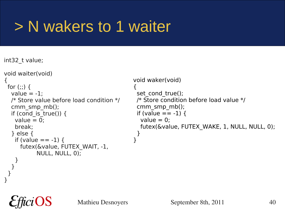## > N wakers to 1 waiter

int32\_t value;

 } } }

OS

```
void waiter(void)
{
 for (:;) \, \{value = -1;
   /* Store value before load condition */
  cmm_smp_mb();
  if (cond is true()) {
   value = 0:
    break;
   } else {
   if (value == -1) {
      futex(&value, FUTEX_WAIT, -1,
            NULL, NULL, 0);
 }
                                              void waker(void)
                                               {
                                               set cond true();
                                                /* Store condition before load value */
                                                 cmm_smp_mb();
                                                if (value == -1) {
                                                 value = 0:
                                                  futex(&value, FUTEX_WAKE, 1, NULL, NULL, 0);
                                                 }
                                              }
```